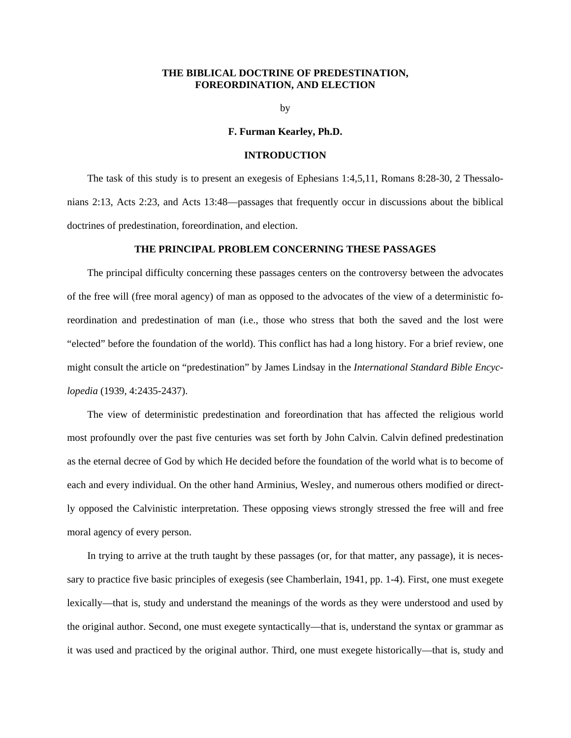### **THE BIBLICAL DOCTRINE OF PREDESTINATION, FOREORDINATION, AND ELECTION**

by

#### **F. Furman Kearley, Ph.D.**

#### **INTRODUCTION**

The task of this study is to present an exegesis of Ephesians 1:4,5,11, Romans 8:28-30, 2 Thessalonians 2:13, Acts 2:23, and Acts 13:48—passages that frequently occur in discussions about the biblical doctrines of predestination, foreordination, and election.

#### **THE PRINCIPAL PROBLEM CONCERNING THESE PASSAGES**

The principal difficulty concerning these passages centers on the controversy between the advocates of the free will (free moral agency) of man as opposed to the advocates of the view of a deterministic foreordination and predestination of man (i.e., those who stress that both the saved and the lost were "elected" before the foundation of the world). This conflict has had a long history. For a brief review, one might consult the article on "predestination" by James Lindsay in the *International Standard Bible Encyclopedia* (1939, 4:2435-2437).

The view of deterministic predestination and foreordination that has affected the religious world most profoundly over the past five centuries was set forth by John Calvin. Calvin defined predestination as the eternal decree of God by which He decided before the foundation of the world what is to become of each and every individual. On the other hand Arminius, Wesley, and numerous others modified or directly opposed the Calvinistic interpretation. These opposing views strongly stressed the free will and free moral agency of every person.

In trying to arrive at the truth taught by these passages (or, for that matter, any passage), it is necessary to practice five basic principles of exegesis (see Chamberlain, 1941, pp. 1-4). First, one must exegete lexically—that is, study and understand the meanings of the words as they were understood and used by the original author. Second, one must exegete syntactically—that is, understand the syntax or grammar as it was used and practiced by the original author. Third, one must exegete historically—that is, study and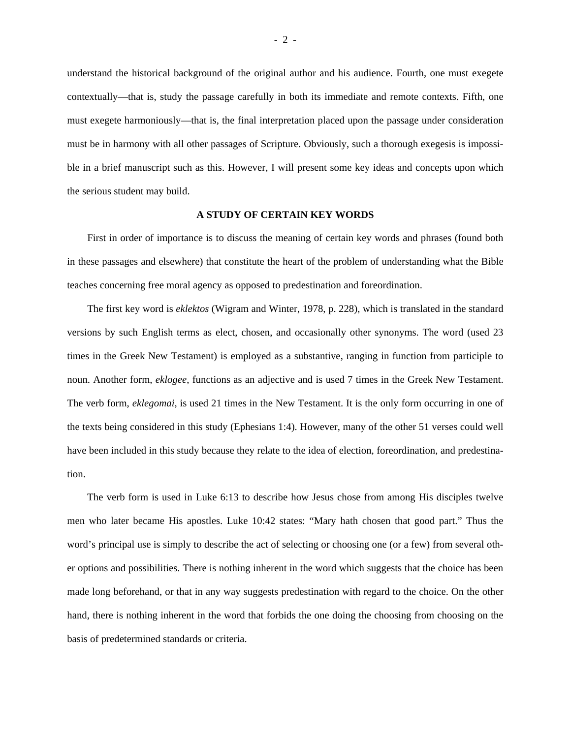understand the historical background of the original author and his audience. Fourth, one must exegete contextually—that is, study the passage carefully in both its immediate and remote contexts. Fifth, one must exegete harmoniously—that is, the final interpretation placed upon the passage under consideration must be in harmony with all other passages of Scripture. Obviously, such a thorough exegesis is impossible in a brief manuscript such as this. However, I will present some key ideas and concepts upon which the serious student may build.

# **A STUDY OF CERTAIN KEY WORDS**

First in order of importance is to discuss the meaning of certain key words and phrases (found both in these passages and elsewhere) that constitute the heart of the problem of understanding what the Bible teaches concerning free moral agency as opposed to predestination and foreordination.

The first key word is *eklektos* (Wigram and Winter, 1978, p. 228), which is translated in the standard versions by such English terms as elect, chosen, and occasionally other synonyms. The word (used 23 times in the Greek New Testament) is employed as a substantive, ranging in function from participle to noun. Another form, *eklogee*, functions as an adjective and is used 7 times in the Greek New Testament. The verb form, *eklegomai*, is used 21 times in the New Testament. It is the only form occurring in one of the texts being considered in this study (Ephesians 1:4). However, many of the other 51 verses could well have been included in this study because they relate to the idea of election, foreordination, and predestination.

The verb form is used in Luke 6:13 to describe how Jesus chose from among His disciples twelve men who later became His apostles. Luke 10:42 states: "Mary hath chosen that good part." Thus the word's principal use is simply to describe the act of selecting or choosing one (or a few) from several other options and possibilities. There is nothing inherent in the word which suggests that the choice has been made long beforehand, or that in any way suggests predestination with regard to the choice. On the other hand, there is nothing inherent in the word that forbids the one doing the choosing from choosing on the basis of predetermined standards or criteria.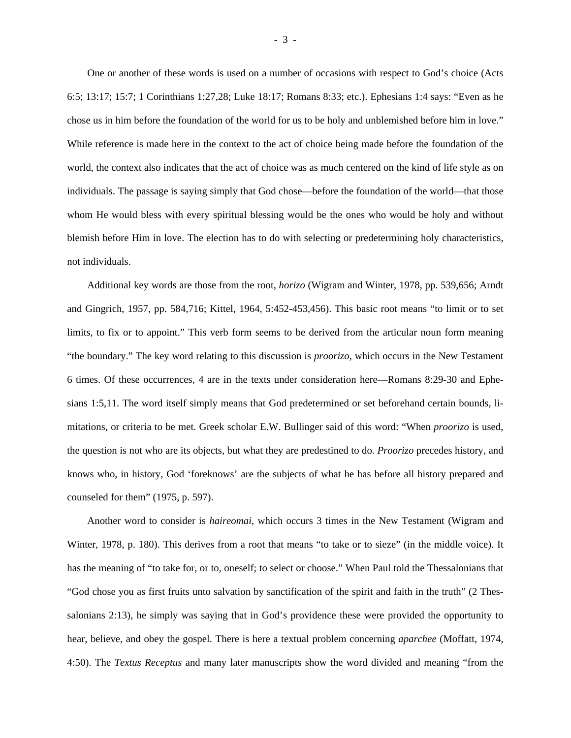One or another of these words is used on a number of occasions with respect to God's choice (Acts 6:5; 13:17; 15:7; 1 Corinthians 1:27,28; Luke 18:17; Romans 8:33; etc.). Ephesians 1:4 says: "Even as he chose us in him before the foundation of the world for us to be holy and unblemished before him in love." While reference is made here in the context to the act of choice being made before the foundation of the world, the context also indicates that the act of choice was as much centered on the kind of life style as on individuals. The passage is saying simply that God chose—before the foundation of the world—that those whom He would bless with every spiritual blessing would be the ones who would be holy and without blemish before Him in love. The election has to do with selecting or predetermining holy characteristics, not individuals.

Additional key words are those from the root, *horizo* (Wigram and Winter, 1978, pp. 539,656; Arndt and Gingrich, 1957, pp. 584,716; Kittel, 1964, 5:452-453,456). This basic root means "to limit or to set limits, to fix or to appoint." This verb form seems to be derived from the articular noun form meaning "the boundary." The key word relating to this discussion is *proorizo*, which occurs in the New Testament 6 times. Of these occurrences, 4 are in the texts under consideration here—Romans 8:29-30 and Ephesians 1:5,11. The word itself simply means that God predetermined or set beforehand certain bounds, limitations, or criteria to be met. Greek scholar E.W. Bullinger said of this word: "When *proorizo* is used, the question is not who are its objects, but what they are predestined to do. *Proorizo* precedes history, and knows who, in history, God 'foreknows' are the subjects of what he has before all history prepared and counseled for them" (1975, p. 597).

Another word to consider is *haireomai*, which occurs 3 times in the New Testament (Wigram and Winter, 1978, p. 180). This derives from a root that means "to take or to sieze" (in the middle voice). It has the meaning of "to take for, or to, oneself; to select or choose." When Paul told the Thessalonians that "God chose you as first fruits unto salvation by sanctification of the spirit and faith in the truth" (2 Thessalonians 2:13), he simply was saying that in God's providence these were provided the opportunity to hear, believe, and obey the gospel. There is here a textual problem concerning *aparchee* (Moffatt, 1974, 4:50). The *Textus Receptus* and many later manuscripts show the word divided and meaning "from the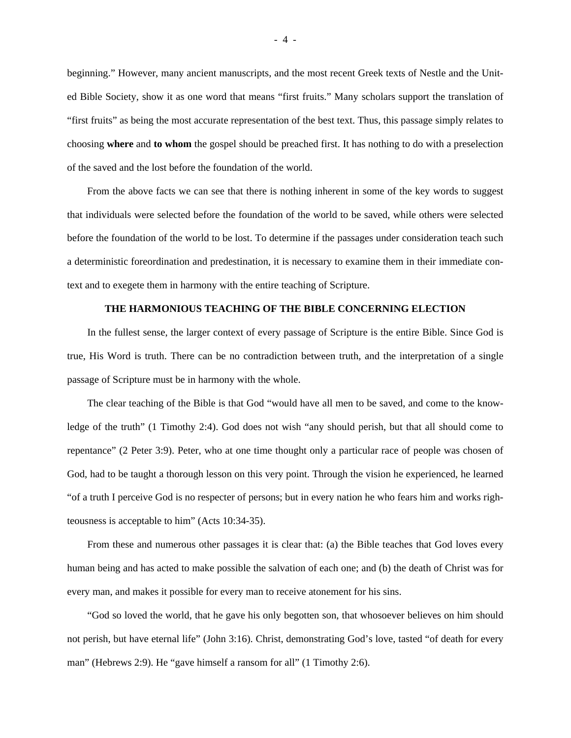beginning." However, many ancient manuscripts, and the most recent Greek texts of Nestle and the United Bible Society, show it as one word that means "first fruits." Many scholars support the translation of "first fruits" as being the most accurate representation of the best text. Thus, this passage simply relates to choosing **where** and **to whom** the gospel should be preached first. It has nothing to do with a preselection of the saved and the lost before the foundation of the world.

From the above facts we can see that there is nothing inherent in some of the key words to suggest that individuals were selected before the foundation of the world to be saved, while others were selected before the foundation of the world to be lost. To determine if the passages under consideration teach such a deterministic foreordination and predestination, it is necessary to examine them in their immediate context and to exegete them in harmony with the entire teaching of Scripture.

## **THE HARMONIOUS TEACHING OF THE BIBLE CONCERNING ELECTION**

In the fullest sense, the larger context of every passage of Scripture is the entire Bible. Since God is true, His Word is truth. There can be no contradiction between truth, and the interpretation of a single passage of Scripture must be in harmony with the whole.

The clear teaching of the Bible is that God "would have all men to be saved, and come to the knowledge of the truth" (1 Timothy 2:4). God does not wish "any should perish, but that all should come to repentance" (2 Peter 3:9). Peter, who at one time thought only a particular race of people was chosen of God, had to be taught a thorough lesson on this very point. Through the vision he experienced, he learned "of a truth I perceive God is no respecter of persons; but in every nation he who fears him and works righteousness is acceptable to him" (Acts 10:34-35).

From these and numerous other passages it is clear that: (a) the Bible teaches that God loves every human being and has acted to make possible the salvation of each one; and (b) the death of Christ was for every man, and makes it possible for every man to receive atonement for his sins.

"God so loved the world, that he gave his only begotten son, that whosoever believes on him should not perish, but have eternal life" (John 3:16). Christ, demonstrating God's love, tasted "of death for every man" (Hebrews 2:9). He "gave himself a ransom for all" (1 Timothy 2:6).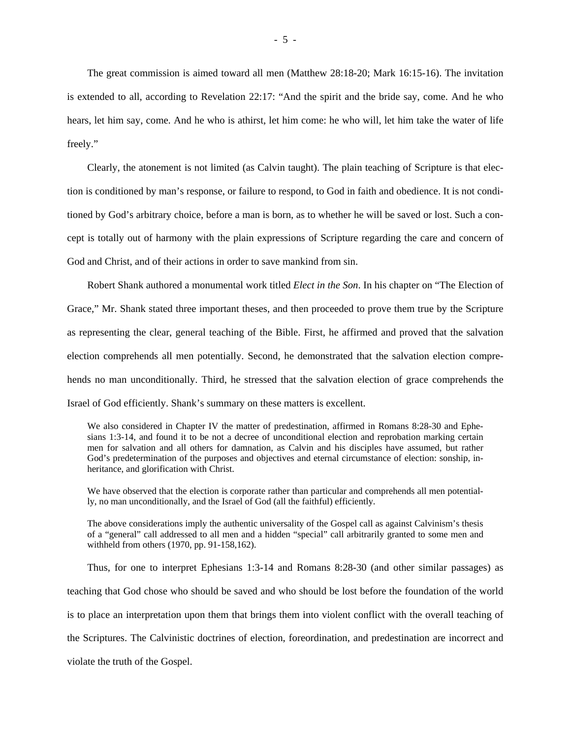The great commission is aimed toward all men (Matthew 28:18-20; Mark 16:15-16). The invitation is extended to all, according to Revelation 22:17: "And the spirit and the bride say, come. And he who hears, let him say, come. And he who is athirst, let him come: he who will, let him take the water of life freely."

Clearly, the atonement is not limited (as Calvin taught). The plain teaching of Scripture is that election is conditioned by man's response, or failure to respond, to God in faith and obedience. It is not conditioned by God's arbitrary choice, before a man is born, as to whether he will be saved or lost. Such a concept is totally out of harmony with the plain expressions of Scripture regarding the care and concern of God and Christ, and of their actions in order to save mankind from sin.

Robert Shank authored a monumental work titled *Elect in the Son*. In his chapter on "The Election of Grace," Mr. Shank stated three important theses, and then proceeded to prove them true by the Scripture as representing the clear, general teaching of the Bible. First, he affirmed and proved that the salvation election comprehends all men potentially. Second, he demonstrated that the salvation election comprehends no man unconditionally. Third, he stressed that the salvation election of grace comprehends the Israel of God efficiently. Shank's summary on these matters is excellent.

We also considered in Chapter IV the matter of predestination, affirmed in Romans 8:28-30 and Ephesians 1:3-14, and found it to be not a decree of unconditional election and reprobation marking certain men for salvation and all others for damnation, as Calvin and his disciples have assumed, but rather God's predetermination of the purposes and objectives and eternal circumstance of election: sonship, inheritance, and glorification with Christ.

We have observed that the election is corporate rather than particular and comprehends all men potentially, no man unconditionally, and the Israel of God (all the faithful) efficiently.

The above considerations imply the authentic universality of the Gospel call as against Calvinism's thesis of a "general" call addressed to all men and a hidden "special" call arbitrarily granted to some men and withheld from others (1970, pp. 91-158,162).

Thus, for one to interpret Ephesians 1:3-14 and Romans 8:28-30 (and other similar passages) as teaching that God chose who should be saved and who should be lost before the foundation of the world is to place an interpretation upon them that brings them into violent conflict with the overall teaching of the Scriptures. The Calvinistic doctrines of election, foreordination, and predestination are incorrect and violate the truth of the Gospel.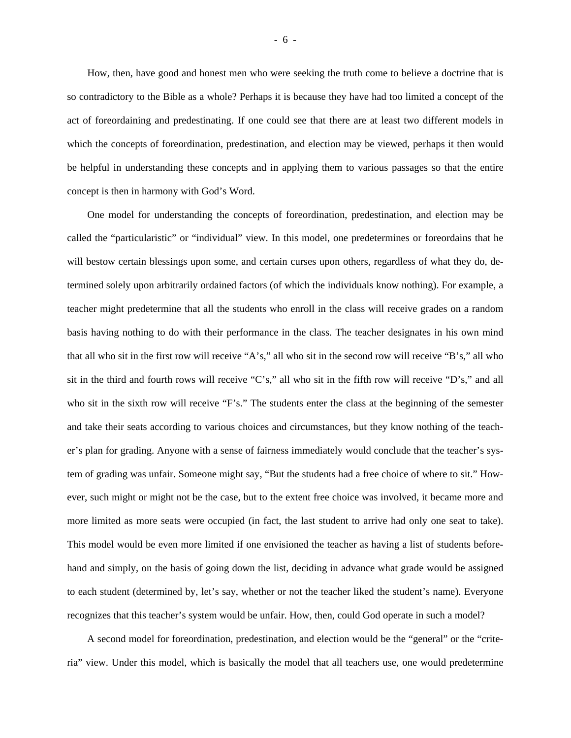How, then, have good and honest men who were seeking the truth come to believe a doctrine that is so contradictory to the Bible as a whole? Perhaps it is because they have had too limited a concept of the act of foreordaining and predestinating. If one could see that there are at least two different models in which the concepts of foreordination, predestination, and election may be viewed, perhaps it then would be helpful in understanding these concepts and in applying them to various passages so that the entire concept is then in harmony with God's Word.

One model for understanding the concepts of foreordination, predestination, and election may be called the "particularistic" or "individual" view. In this model, one predetermines or foreordains that he will bestow certain blessings upon some, and certain curses upon others, regardless of what they do, determined solely upon arbitrarily ordained factors (of which the individuals know nothing). For example, a teacher might predetermine that all the students who enroll in the class will receive grades on a random basis having nothing to do with their performance in the class. The teacher designates in his own mind that all who sit in the first row will receive "A's," all who sit in the second row will receive "B's," all who sit in the third and fourth rows will receive "C's," all who sit in the fifth row will receive "D's," and all who sit in the sixth row will receive "F's." The students enter the class at the beginning of the semester and take their seats according to various choices and circumstances, but they know nothing of the teacher's plan for grading. Anyone with a sense of fairness immediately would conclude that the teacher's system of grading was unfair. Someone might say, "But the students had a free choice of where to sit." However, such might or might not be the case, but to the extent free choice was involved, it became more and more limited as more seats were occupied (in fact, the last student to arrive had only one seat to take). This model would be even more limited if one envisioned the teacher as having a list of students beforehand and simply, on the basis of going down the list, deciding in advance what grade would be assigned to each student (determined by, let's say, whether or not the teacher liked the student's name). Everyone recognizes that this teacher's system would be unfair. How, then, could God operate in such a model?

A second model for foreordination, predestination, and election would be the "general" or the "criteria" view. Under this model, which is basically the model that all teachers use, one would predetermine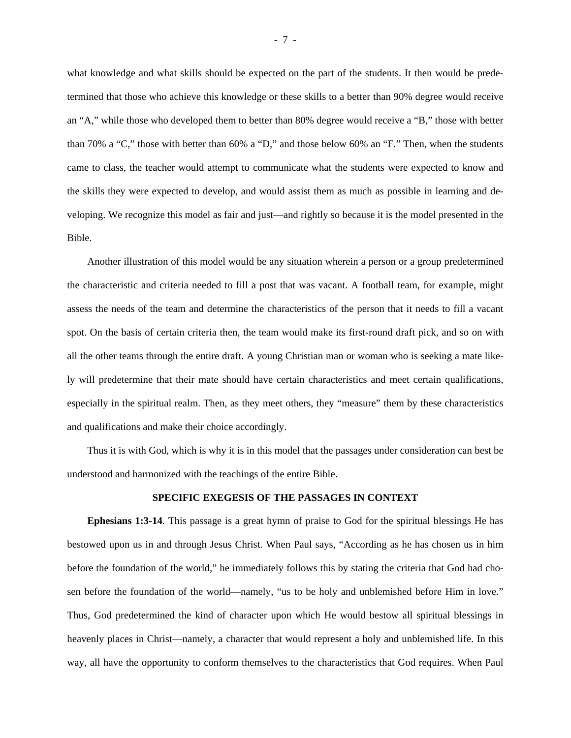what knowledge and what skills should be expected on the part of the students. It then would be predetermined that those who achieve this knowledge or these skills to a better than 90% degree would receive an "A," while those who developed them to better than 80% degree would receive a "B," those with better than 70% a "C," those with better than 60% a "D," and those below 60% an "F." Then, when the students came to class, the teacher would attempt to communicate what the students were expected to know and the skills they were expected to develop, and would assist them as much as possible in learning and developing. We recognize this model as fair and just—and rightly so because it is the model presented in the Bible.

Another illustration of this model would be any situation wherein a person or a group predetermined the characteristic and criteria needed to fill a post that was vacant. A football team, for example, might assess the needs of the team and determine the characteristics of the person that it needs to fill a vacant spot. On the basis of certain criteria then, the team would make its first-round draft pick, and so on with all the other teams through the entire draft. A young Christian man or woman who is seeking a mate likely will predetermine that their mate should have certain characteristics and meet certain qualifications, especially in the spiritual realm. Then, as they meet others, they "measure" them by these characteristics and qualifications and make their choice accordingly.

Thus it is with God, which is why it is in this model that the passages under consideration can best be understood and harmonized with the teachings of the entire Bible.

## **SPECIFIC EXEGESIS OF THE PASSAGES IN CONTEXT**

**Ephesians 1:3-14**. This passage is a great hymn of praise to God for the spiritual blessings He has bestowed upon us in and through Jesus Christ. When Paul says, "According as he has chosen us in him before the foundation of the world," he immediately follows this by stating the criteria that God had chosen before the foundation of the world—namely, "us to be holy and unblemished before Him in love." Thus, God predetermined the kind of character upon which He would bestow all spiritual blessings in heavenly places in Christ—namely, a character that would represent a holy and unblemished life. In this way, all have the opportunity to conform themselves to the characteristics that God requires. When Paul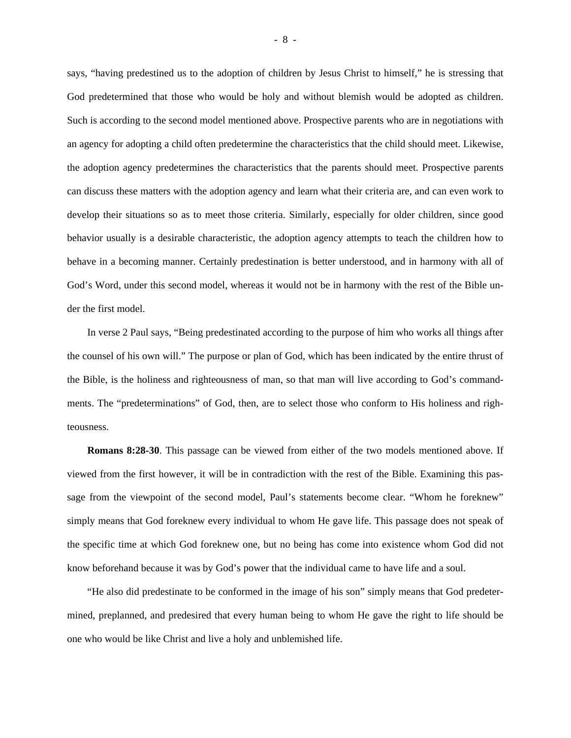says, "having predestined us to the adoption of children by Jesus Christ to himself," he is stressing that God predetermined that those who would be holy and without blemish would be adopted as children. Such is according to the second model mentioned above. Prospective parents who are in negotiations with an agency for adopting a child often predetermine the characteristics that the child should meet. Likewise, the adoption agency predetermines the characteristics that the parents should meet. Prospective parents can discuss these matters with the adoption agency and learn what their criteria are, and can even work to develop their situations so as to meet those criteria. Similarly, especially for older children, since good behavior usually is a desirable characteristic, the adoption agency attempts to teach the children how to behave in a becoming manner. Certainly predestination is better understood, and in harmony with all of God's Word, under this second model, whereas it would not be in harmony with the rest of the Bible under the first model.

In verse 2 Paul says, "Being predestinated according to the purpose of him who works all things after the counsel of his own will." The purpose or plan of God, which has been indicated by the entire thrust of the Bible, is the holiness and righteousness of man, so that man will live according to God's commandments. The "predeterminations" of God, then, are to select those who conform to His holiness and righteousness.

**Romans 8:28-30**. This passage can be viewed from either of the two models mentioned above. If viewed from the first however, it will be in contradiction with the rest of the Bible. Examining this passage from the viewpoint of the second model, Paul's statements become clear. "Whom he foreknew" simply means that God foreknew every individual to whom He gave life. This passage does not speak of the specific time at which God foreknew one, but no being has come into existence whom God did not know beforehand because it was by God's power that the individual came to have life and a soul.

"He also did predestinate to be conformed in the image of his son" simply means that God predetermined, preplanned, and predesired that every human being to whom He gave the right to life should be one who would be like Christ and live a holy and unblemished life.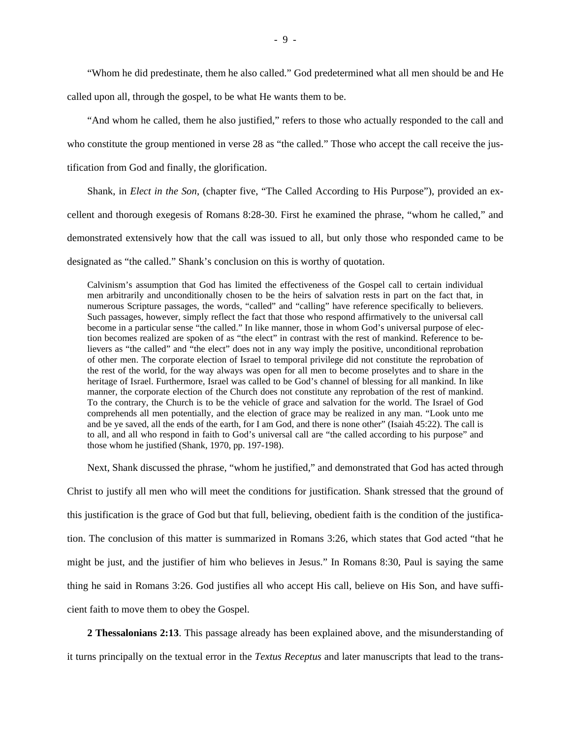"Whom he did predestinate, them he also called." God predetermined what all men should be and He called upon all, through the gospel, to be what He wants them to be.

"And whom he called, them he also justified," refers to those who actually responded to the call and who constitute the group mentioned in verse 28 as "the called." Those who accept the call receive the justification from God and finally, the glorification.

Shank, in *Elect in the Son*, (chapter five, "The Called According to His Purpose"), provided an excellent and thorough exegesis of Romans 8:28-30. First he examined the phrase, "whom he called," and demonstrated extensively how that the call was issued to all, but only those who responded came to be designated as "the called." Shank's conclusion on this is worthy of quotation.

Calvinism's assumption that God has limited the effectiveness of the Gospel call to certain individual men arbitrarily and unconditionally chosen to be the heirs of salvation rests in part on the fact that, in numerous Scripture passages, the words, "called" and "calling" have reference specifically to believers. Such passages, however, simply reflect the fact that those who respond affirmatively to the universal call become in a particular sense "the called." In like manner, those in whom God's universal purpose of election becomes realized are spoken of as "the elect" in contrast with the rest of mankind. Reference to believers as "the called" and "the elect" does not in any way imply the positive, unconditional reprobation of other men. The corporate election of Israel to temporal privilege did not constitute the reprobation of the rest of the world, for the way always was open for all men to become proselytes and to share in the heritage of Israel. Furthermore, Israel was called to be God's channel of blessing for all mankind. In like manner, the corporate election of the Church does not constitute any reprobation of the rest of mankind. To the contrary, the Church is to be the vehicle of grace and salvation for the world. The Israel of God comprehends all men potentially, and the election of grace may be realized in any man. "Look unto me and be ye saved, all the ends of the earth, for I am God, and there is none other" (Isaiah 45:22). The call is to all, and all who respond in faith to God's universal call are "the called according to his purpose" and those whom he justified (Shank, 1970, pp. 197-198).

Next, Shank discussed the phrase, "whom he justified," and demonstrated that God has acted through

Christ to justify all men who will meet the conditions for justification. Shank stressed that the ground of this justification is the grace of God but that full, believing, obedient faith is the condition of the justification. The conclusion of this matter is summarized in Romans 3:26, which states that God acted "that he might be just, and the justifier of him who believes in Jesus." In Romans 8:30, Paul is saying the same thing he said in Romans 3:26. God justifies all who accept His call, believe on His Son, and have sufficient faith to move them to obey the Gospel.

**2 Thessalonians 2:13**. This passage already has been explained above, and the misunderstanding of it turns principally on the textual error in the *Textus Receptus* and later manuscripts that lead to the trans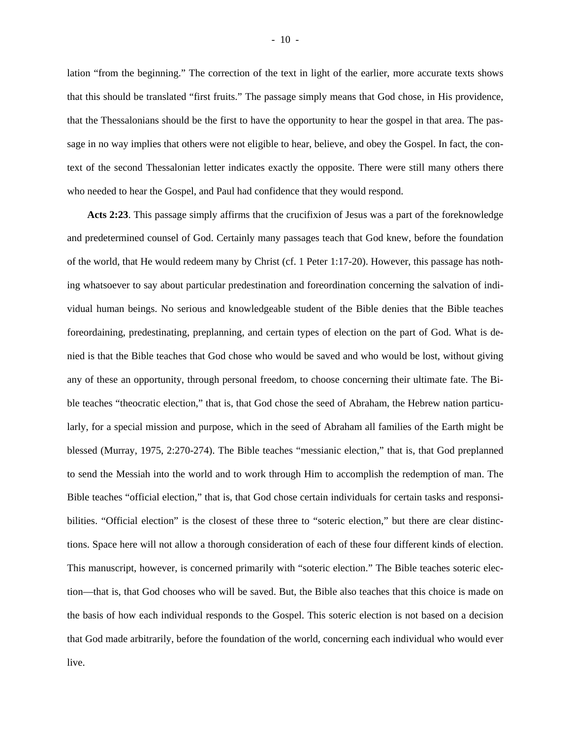lation "from the beginning." The correction of the text in light of the earlier, more accurate texts shows that this should be translated "first fruits." The passage simply means that God chose, in His providence, that the Thessalonians should be the first to have the opportunity to hear the gospel in that area. The passage in no way implies that others were not eligible to hear, believe, and obey the Gospel. In fact, the context of the second Thessalonian letter indicates exactly the opposite. There were still many others there who needed to hear the Gospel, and Paul had confidence that they would respond.

**Acts 2:23**. This passage simply affirms that the crucifixion of Jesus was a part of the foreknowledge and predetermined counsel of God. Certainly many passages teach that God knew, before the foundation of the world, that He would redeem many by Christ (cf. 1 Peter 1:17-20). However, this passage has nothing whatsoever to say about particular predestination and foreordination concerning the salvation of individual human beings. No serious and knowledgeable student of the Bible denies that the Bible teaches foreordaining, predestinating, preplanning, and certain types of election on the part of God. What is denied is that the Bible teaches that God chose who would be saved and who would be lost, without giving any of these an opportunity, through personal freedom, to choose concerning their ultimate fate. The Bible teaches "theocratic election," that is, that God chose the seed of Abraham, the Hebrew nation particularly, for a special mission and purpose, which in the seed of Abraham all families of the Earth might be blessed (Murray, 1975, 2:270-274). The Bible teaches "messianic election," that is, that God preplanned to send the Messiah into the world and to work through Him to accomplish the redemption of man. The Bible teaches "official election," that is, that God chose certain individuals for certain tasks and responsibilities. "Official election" is the closest of these three to "soteric election," but there are clear distinctions. Space here will not allow a thorough consideration of each of these four different kinds of election. This manuscript, however, is concerned primarily with "soteric election." The Bible teaches soteric election—that is, that God chooses who will be saved. But, the Bible also teaches that this choice is made on the basis of how each individual responds to the Gospel. This soteric election is not based on a decision that God made arbitrarily, before the foundation of the world, concerning each individual who would ever live.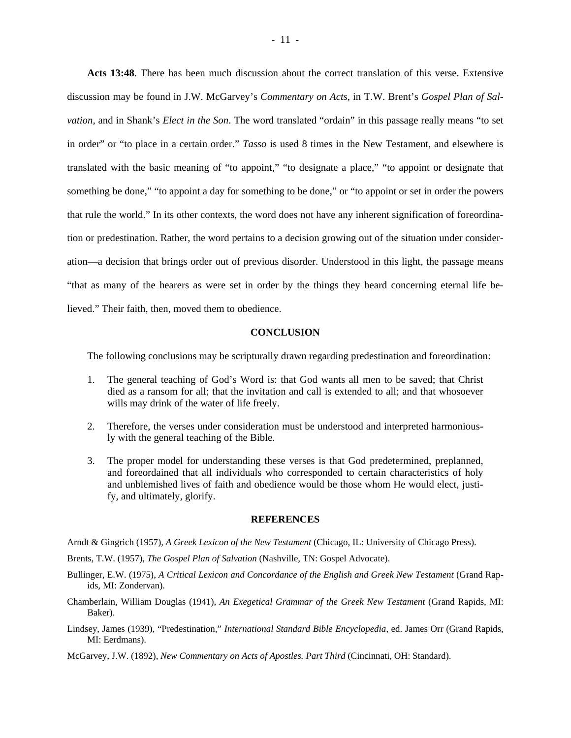**Acts 13:48**. There has been much discussion about the correct translation of this verse. Extensive discussion may be found in J.W. McGarvey's *Commentary on Acts*, in T.W. Brent's *Gospel Plan of Salvation*, and in Shank's *Elect in the Son*. The word translated "ordain" in this passage really means "to set in order" or "to place in a certain order." *Tasso* is used 8 times in the New Testament, and elsewhere is translated with the basic meaning of "to appoint," "to designate a place," "to appoint or designate that something be done," "to appoint a day for something to be done," or "to appoint or set in order the powers that rule the world." In its other contexts, the word does not have any inherent signification of foreordination or predestination. Rather, the word pertains to a decision growing out of the situation under consideration—a decision that brings order out of previous disorder. Understood in this light, the passage means "that as many of the hearers as were set in order by the things they heard concerning eternal life believed." Their faith, then, moved them to obedience.

# **CONCLUSION**

The following conclusions may be scripturally drawn regarding predestination and foreordination:

- 1. The general teaching of God's Word is: that God wants all men to be saved; that Christ died as a ransom for all; that the invitation and call is extended to all; and that whosoever wills may drink of the water of life freely.
- 2. Therefore, the verses under consideration must be understood and interpreted harmoniously with the general teaching of the Bible.
- 3. The proper model for understanding these verses is that God predetermined, preplanned, and foreordained that all individuals who corresponded to certain characteristics of holy and unblemished lives of faith and obedience would be those whom He would elect, justify, and ultimately, glorify.

#### **REFERENCES**

Arndt & Gingrich (1957), *A Greek Lexicon of the New Testament* (Chicago, IL: University of Chicago Press).

Brents, T.W. (1957), *The Gospel Plan of Salvation* (Nashville, TN: Gospel Advocate).

- Bullinger, E.W. (1975), *A Critical Lexicon and Concordance of the English and Greek New Testament* (Grand Rapids, MI: Zondervan).
- Chamberlain, William Douglas (1941), *An Exegetical Grammar of the Greek New Testament* (Grand Rapids, MI: Baker).
- Lindsey, James (1939), "Predestination," *International Standard Bible Encyclopedia*, ed. James Orr (Grand Rapids, MI: Eerdmans).

McGarvey, J.W. (1892), *New Commentary on Acts of Apostles. Part Third* (Cincinnati, OH: Standard).